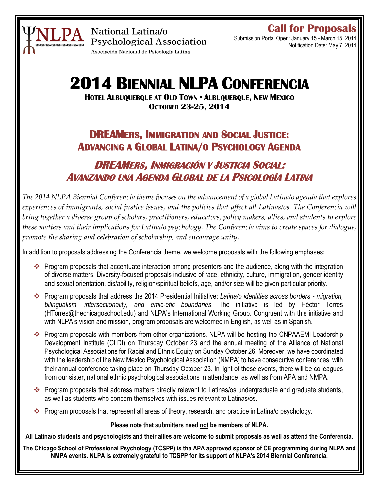

National Latina/o **Psychological Association** Asociación Nacional de Psicología Latina

**Call for Proposals**

Submission Portal Open: January 15 - March 15, 2014 Notification Date: May 7, 2014

# **2014 BIENNIAL NLPA CONFERENCIA**

**HOTEL ALBUQUERQUE AT OLD TOWN • ALBUQUERQUE, NEW MEXICO OCTOBER 23-25, 2014**

# **DREAMERS, IMMIGRATION AND SOCIAL JUSTICE: ADVANCING A GLOBAL LATINA/O PSYCHOLOGY AGENDA**

# **DREAMERS, INMIGRACIÓN Y JUSTICIA SOCIAL: AVANZANDO UNA AGENDA GLOBAL DE LA PSICOLOGÍA LATINA**

*The 2014 NLPA Biennial Conferencia theme focuses on the advancement of a global Latina/o agenda that explores experiences of immigrants, social justice issues, and the policies that affect all Latinas/os. The Conferencia will bring together a diverse group of scholars, practitioners, educators, policy makers, allies, and students to explore these matters and their implications for Latina/o psychology. The Conferencia aims to create spaces for dialogue, promote the sharing and celebration of scholarship, and encourage unity.* 

In addition to proposals addressing the Conferencia theme, we welcome proposals with the following emphases:

- Program proposals that accentuate interaction among presenters and the audience, along with the integration of diverse matters. Diversity-focused proposals inclusive of race, ethnicity, culture, immigration, gender identity and sexual orientation, dis/ability, religion/spiritual beliefs, age, and/or size will be given particular priority.
- Program proposals that address the 2014 Presidential Initiative: *Latina/o identities across borders - migration, bilingualism, intersectionality, and emic-etic boundaries*. The initiative is led by Héctor Torres [\(HTorres@thechicagoschool.edu\)](mailto:HTorres@thechicagoschool.edu) and NLPA's International Working Group. Congruent with this initiative and with NLPA's vision and mission, program proposals are welcomed in English, as well as in Spanish.
- \* Program proposals with members from other organizations. NLPA will be hosting the CNPAAEMI Leadership Development Institute (CLDI) on Thursday October 23 and the annual meeting of the Alliance of National Psychological Associations for Racial and Ethnic Equity on Sunday October 26. Moreover, we have coordinated with the leadership of the New Mexico Psychological Association (NMPA) to have consecutive conferences, with their annual conference taking place on Thursday October 23. In light of these events, there will be colleagues from our sister, national ethnic psychological associations in attendance, as well as from APA and NMPA.
- \* Program proposals that address matters directly relevant to Latinas/os undergraduate and graduate students, as well as students who concern themselves with issues relevant to Latinas/os.
- \* Program proposals that represent all areas of theory, research, and practice in Latina/o psychology.

### **Please note that submitters need not be members of NLPA.**

**All Latina/o students and psychologists and their allies are welcome to submit proposals as well as attend the Conferencia.**

**The Chicago School of Professional Psychology (TCSPP) is the APA approved sponsor of CE programming during NLPA and NMPA events. NLPA is extremely grateful to TCSPP for its support of NLPA's 2014 Biennial Conferencia.**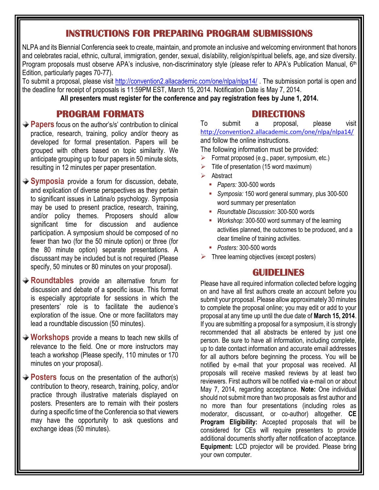### **INSTRUCTIONS FOR PREPARING PROGRAM SUBMISSIONS**

NLPA and its Biennial Conferencia seek to create, maintain, and promote an inclusive and welcoming environment that honors and celebrates racial, ethnic, cultural, immigration, gender, sexual, dis/ability, religion/spiritual beliefs, age, and size diversity. Program proposals must observe APA's inclusive, non-discriminatory style (please refer to APA's Publication Manual, 6<sup>th</sup> Edition, particularly pages 70-77).

To submit a proposal, please visit <http://convention2.allacademic.com/one/nlpa/nlpa14/>. The submission portal is open and the deadline for receipt of proposals is 11:59PM EST, March 15, 2014. Notification Date is May 7, 2014. **All presenters must register for the conference and pay registration fees by June 1, 2014.**

### **PROGRAM FORMATS**

- **→ Papers** focus on the author's/s' contribution to clinical practice, research, training, policy and/or theory as developed for formal presentation. Papers will be grouped with others based on topic similarity. We anticipate grouping up to four papers in 50 minute slots, resulting in 12 minutes per paper presentation.
- **Symposia** provide a forum for discussion, debate, and explication of diverse perspectives as they pertain to significant issues in Latina/o psychology. Symposia may be used to present practice, research, training, and/or policy themes. Proposers should allow significant time for discussion and audience participation. A symposium should be composed of no fewer than two (for the 50 minute option) or three (for the 80 minute option) separate presentations. A discussant may be included but is not required (Please specify, 50 minutes or 80 minutes on your proposal).
- **Roundtables** provide an alternative forum for discussion and debate of a specific issue. This format is especially appropriate for sessions in which the presenters' role is to facilitate the audience's exploration of the issue. One or more facilitators may lead a roundtable discussion (50 minutes).
- **Workshops** provide a means to teach new skills of relevance to the field. One or more instructors may teach a workshop (Please specify, 110 minutes or 170 minutes on your proposal).
- **Posters** focus on the presentation of the author(s) contribution to theory, research, training, policy, and/or practice through illustrative materials displayed on posters. Presenters are to remain with their posters during a specific time of the Conferencia so that viewers may have the opportunity to ask questions and exchange ideas (50 minutes).

### **DIRECTIONS**

To submit a proposal, please visit <http://convention2.allacademic.com/one/nlpa/nlpa14/> and follow the online instructions.

The following information must be provided:

- Format proposed (e.g., paper, symposium, etc.)
- Title of presentation (15 word maximum)
- Abstract
	- *Papers:* 300-500 words
	- *Symposia:* 150 word general summary, plus 300-500 word summary per presentation
	- *Roundtable Discussion:* 300-500 words
	- *Workshop:* 300-500 word summary of the learning activities planned, the outcomes to be produced, and a clear timeline of training activities.
	- *Posters:* 300*-*500 words
- $\triangleright$  Three learning objectives (except posters)

## **GUIDELINES**

Please have all required information collected before logging on and have all first authors create an account before you submit your proposal. Please allow approximately 30 minutes to complete the proposal online; you may edit or add to your proposal at any time up until the due date of **March 15, 2014**. If you are submitting a proposal for a symposium, it is strongly recommended that all abstracts be entered by just one person. Be sure to have all information, including complete, up to date contact information and accurate email addresses for all authors before beginning the process. You will be notified by e-mail that your proposal was received. All proposals will receive masked reviews by at least two reviewers. First authors will be notified via e-mail on or about May 7, 2014, regarding acceptance. **Note:** One individual should not submit more than two proposals as first author and no more than four presentations (including roles as moderator, discussant, or co-author) altogether. **CE Program Eligibility:** Accepted proposals that will be considered for CEs will require presenters to provide additional documents shortly after notification of acceptance. **Equipment:** LCD projector will be provided. Please bring your own computer.